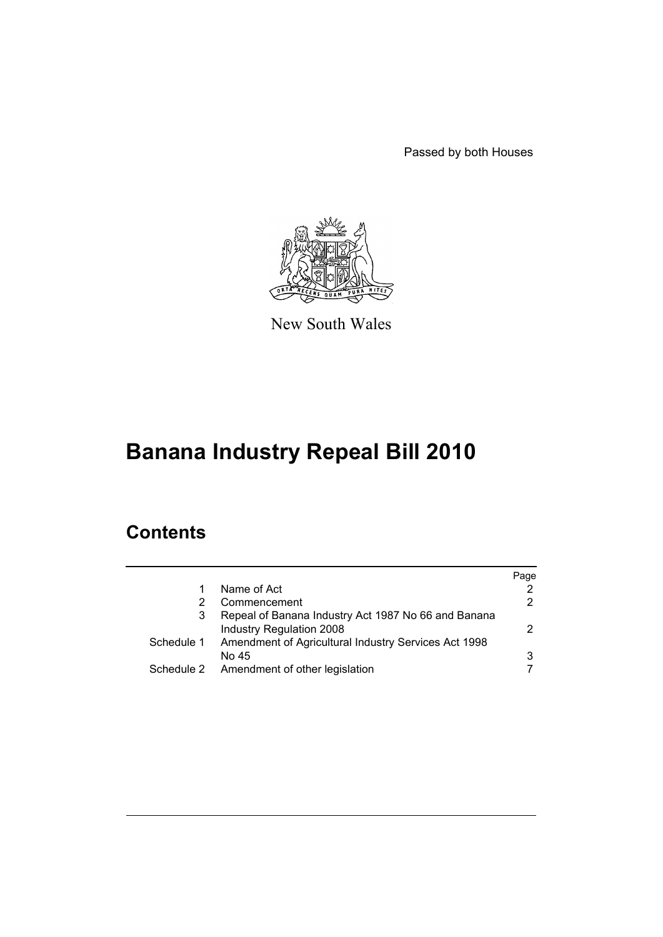Passed by both Houses



New South Wales

# **Banana Industry Repeal Bill 2010**

## **Contents**

|            |                                                      | Page |
|------------|------------------------------------------------------|------|
|            | Name of Act                                          | 2    |
| 2          | Commencement                                         | 2    |
| 3          | Repeal of Banana Industry Act 1987 No 66 and Banana  |      |
|            | <b>Industry Regulation 2008</b>                      | 2.   |
| Schedule 1 | Amendment of Agricultural Industry Services Act 1998 |      |
|            | No 45                                                | 3    |
|            | Schedule 2 Amendment of other legislation            |      |
|            |                                                      |      |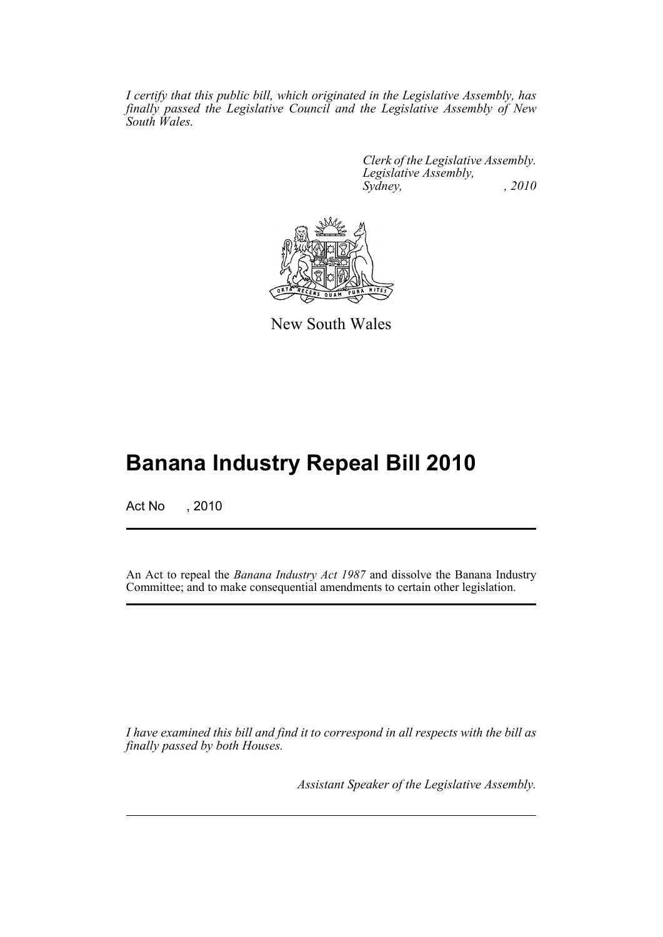*I certify that this public bill, which originated in the Legislative Assembly, has finally passed the Legislative Council and the Legislative Assembly of New South Wales.*

> *Clerk of the Legislative Assembly. Legislative Assembly, Sydney, , 2010*



New South Wales

## **Banana Industry Repeal Bill 2010**

Act No , 2010

An Act to repeal the *Banana Industry Act 1987* and dissolve the Banana Industry Committee; and to make consequential amendments to certain other legislation.

*I have examined this bill and find it to correspond in all respects with the bill as finally passed by both Houses.*

*Assistant Speaker of the Legislative Assembly.*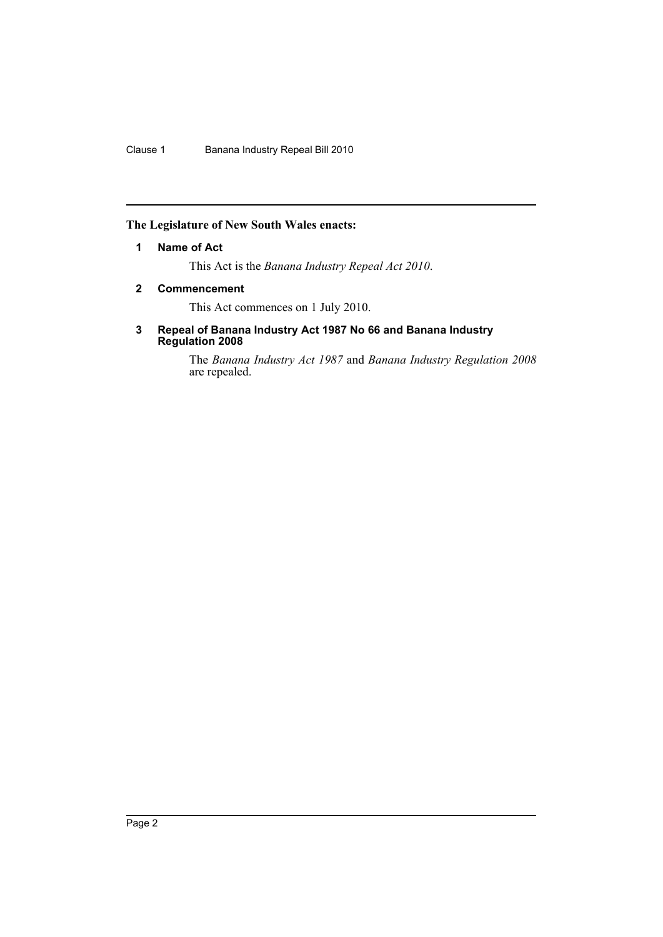#### <span id="page-2-0"></span>**The Legislature of New South Wales enacts:**

#### **1 Name of Act**

This Act is the *Banana Industry Repeal Act 2010*.

#### <span id="page-2-1"></span>**2 Commencement**

This Act commences on 1 July 2010.

#### <span id="page-2-2"></span>**3 Repeal of Banana Industry Act 1987 No 66 and Banana Industry Regulation 2008**

The *Banana Industry Act 1987* and *Banana Industry Regulation 2008* are repealed.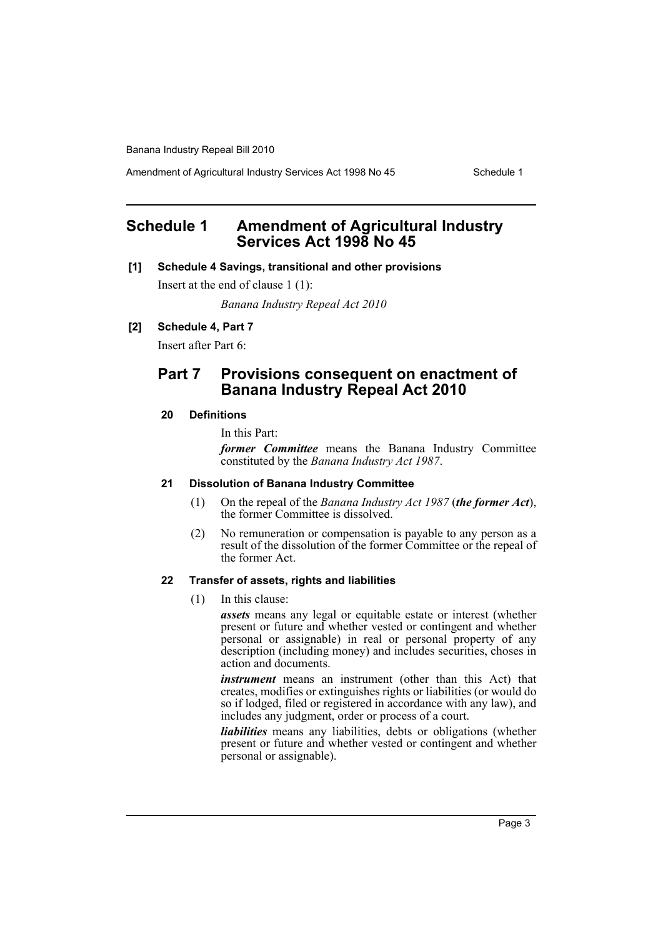Amendment of Agricultural Industry Services Act 1998 No 45 Schedule 1

## <span id="page-3-0"></span>**Schedule 1 Amendment of Agricultural Industry Services Act 1998 No 45**

#### **[1] Schedule 4 Savings, transitional and other provisions**

Insert at the end of clause 1 (1):

*Banana Industry Repeal Act 2010*

#### **[2] Schedule 4, Part 7**

Insert after Part 6:

### **Part 7 Provisions consequent on enactment of Banana Industry Repeal Act 2010**

#### **20 Definitions**

In this Part:

*former Committee* means the Banana Industry Committee constituted by the *Banana Industry Act 1987*.

#### **21 Dissolution of Banana Industry Committee**

- (1) On the repeal of the *Banana Industry Act 1987* (*the former Act*), the former Committee is dissolved.
- (2) No remuneration or compensation is payable to any person as a result of the dissolution of the former Committee or the repeal of the former Act.

#### **22 Transfer of assets, rights and liabilities**

(1) In this clause:

*assets* means any legal or equitable estate or interest (whether present or future and whether vested or contingent and whether personal or assignable) in real or personal property of any description (including money) and includes securities, choses in action and documents.

*instrument* means an instrument (other than this Act) that creates, modifies or extinguishes rights or liabilities (or would do so if lodged, filed or registered in accordance with any law), and includes any judgment, order or process of a court.

*liabilities* means any liabilities, debts or obligations (whether present or future and whether vested or contingent and whether personal or assignable).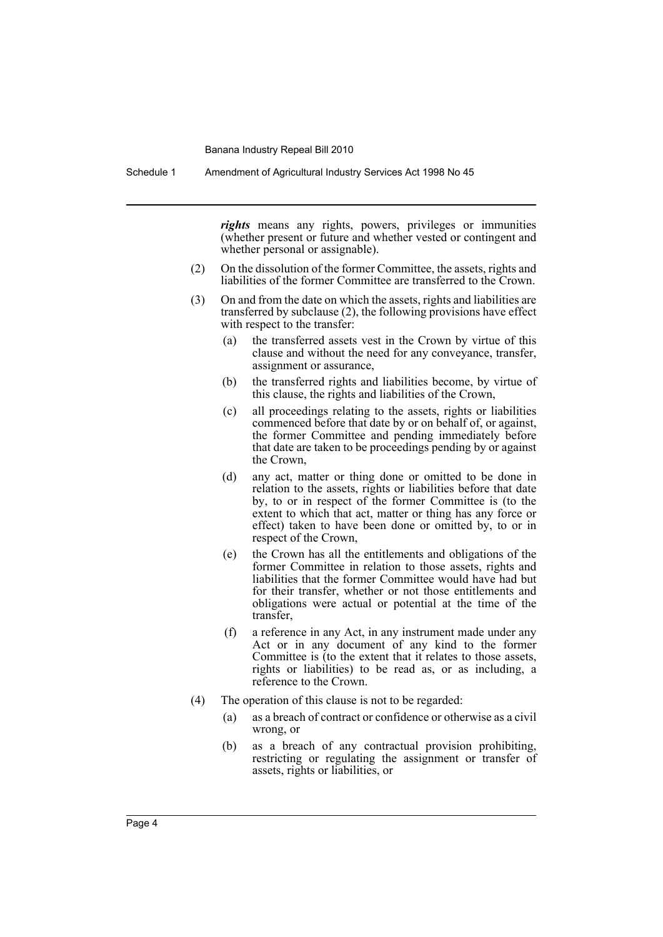Schedule 1 Amendment of Agricultural Industry Services Act 1998 No 45

*rights* means any rights, powers, privileges or immunities (whether present or future and whether vested or contingent and whether personal or assignable).

- (2) On the dissolution of the former Committee, the assets, rights and liabilities of the former Committee are transferred to the Crown.
- (3) On and from the date on which the assets, rights and liabilities are transferred by subclause (2), the following provisions have effect with respect to the transfer:
	- (a) the transferred assets vest in the Crown by virtue of this clause and without the need for any conveyance, transfer, assignment or assurance,
	- (b) the transferred rights and liabilities become, by virtue of this clause, the rights and liabilities of the Crown,
	- (c) all proceedings relating to the assets, rights or liabilities commenced before that date by or on behalf of, or against, the former Committee and pending immediately before that date are taken to be proceedings pending by or against the Crown,
	- (d) any act, matter or thing done or omitted to be done in relation to the assets, rights or liabilities before that date by, to or in respect of the former Committee is (to the extent to which that act, matter or thing has any force or effect) taken to have been done or omitted by, to or in respect of the Crown,
	- (e) the Crown has all the entitlements and obligations of the former Committee in relation to those assets, rights and liabilities that the former Committee would have had but for their transfer, whether or not those entitlements and obligations were actual or potential at the time of the transfer,
	- (f) a reference in any Act, in any instrument made under any Act or in any document of any kind to the former Committee is (to the extent that it relates to those assets, rights or liabilities) to be read as, or as including, a reference to the Crown.
- (4) The operation of this clause is not to be regarded:
	- (a) as a breach of contract or confidence or otherwise as a civil wrong, or
	- (b) as a breach of any contractual provision prohibiting, restricting or regulating the assignment or transfer of assets, rights or liabilities, or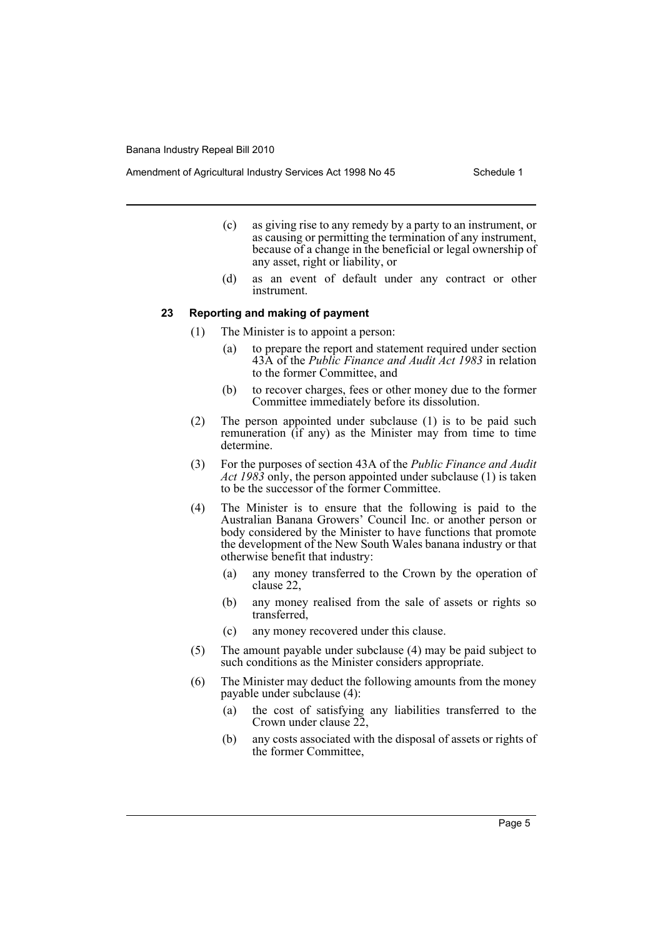- (c) as giving rise to any remedy by a party to an instrument, or as causing or permitting the termination of any instrument, because of a change in the beneficial or legal ownership of any asset, right or liability, or
- (d) as an event of default under any contract or other instrument.

#### **23 Reporting and making of payment**

- (1) The Minister is to appoint a person:
	- (a) to prepare the report and statement required under section 43A of the *Public Finance and Audit Act 1983* in relation to the former Committee, and
	- (b) to recover charges, fees or other money due to the former Committee immediately before its dissolution.
- (2) The person appointed under subclause (1) is to be paid such remuneration (if any) as the Minister may from time to time determine.
- (3) For the purposes of section 43A of the *Public Finance and Audit Act 1983* only, the person appointed under subclause (1) is taken to be the successor of the former Committee.
- (4) The Minister is to ensure that the following is paid to the Australian Banana Growers' Council Inc. or another person or body considered by the Minister to have functions that promote the development of the New South Wales banana industry or that otherwise benefit that industry:
	- (a) any money transferred to the Crown by the operation of clause 22,
	- (b) any money realised from the sale of assets or rights so transferred,
	- (c) any money recovered under this clause.
- (5) The amount payable under subclause (4) may be paid subject to such conditions as the Minister considers appropriate.
- (6) The Minister may deduct the following amounts from the money payable under subclause (4):
	- (a) the cost of satisfying any liabilities transferred to the Crown under clause 22,
	- (b) any costs associated with the disposal of assets or rights of the former Committee,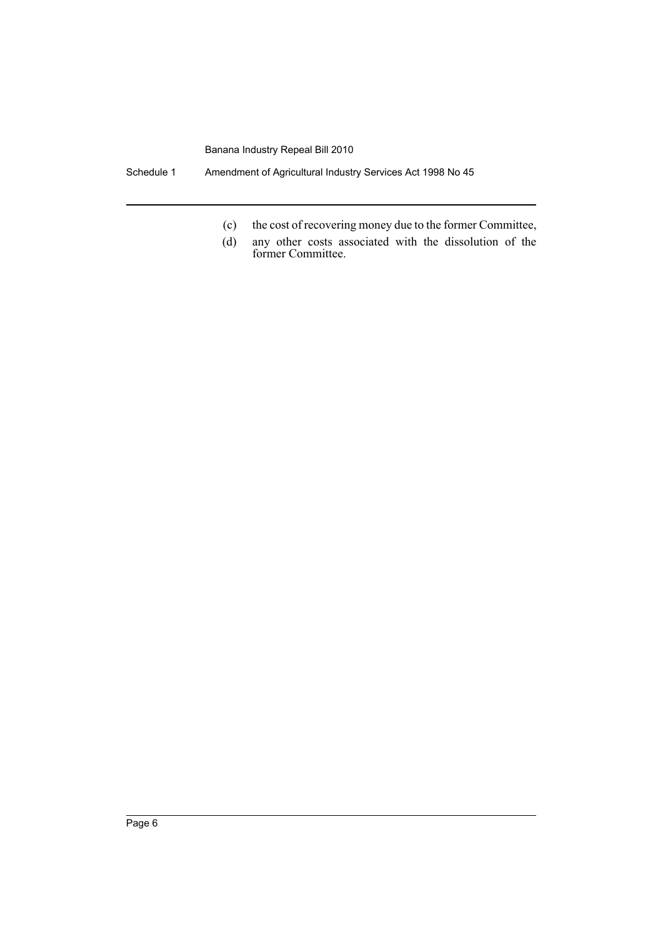Schedule 1 Amendment of Agricultural Industry Services Act 1998 No 45

- (c) the cost of recovering money due to the former Committee,
- (d) any other costs associated with the dissolution of the former Committee.